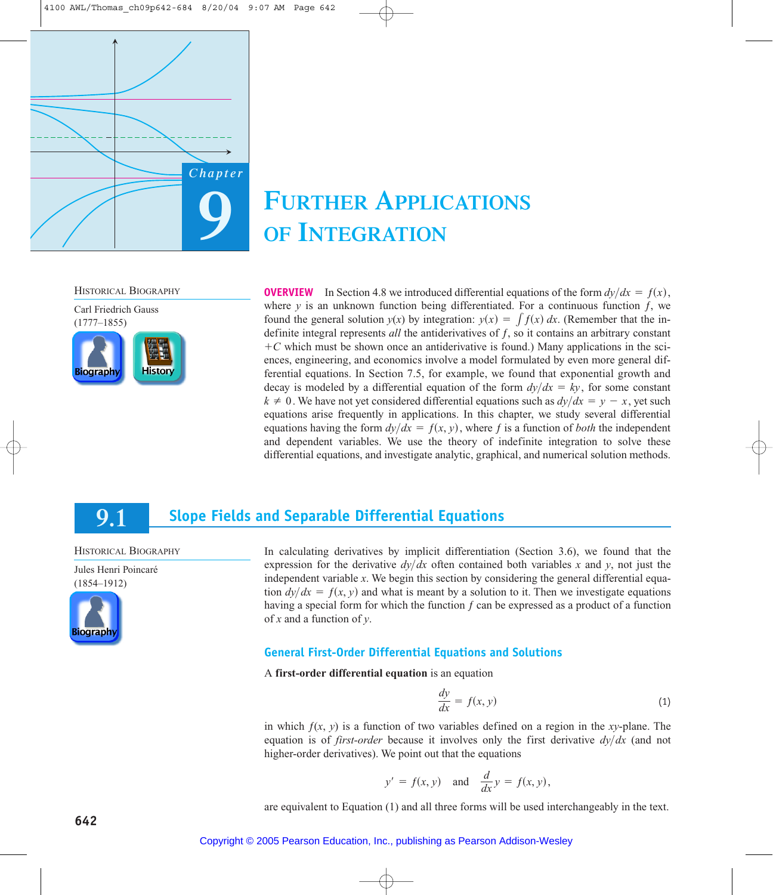

# **FURTHER APPLICATIONS OF INTEGRATION**

HISTORICAL BIOGRAPHY



**OVERVIEW** In Section 4.8 we introduced differential equations of the form  $dy/dx = f(x)$ , where  $\gamma$  is an unknown function being differentiated. For a continuous function  $f$ , we found the general solution  $y(x)$  by integration:  $y(x) = \int f(x) dx$ . (Remember that the indefinite integral represents *all* the antiderivatives of ƒ, so it contains an arbitrary constant  $+C$  which must be shown once an antiderivative is found.) Many applications in the sciences, engineering, and economics involve a model formulated by even more general differential equations. In Section 7.5, for example, we found that exponential growth and decay is modeled by a differential equation of the form  $dy/dx = ky$ , for some constant  $k \neq 0$ . We have not yet considered differential equations such as  $dy/dx = y - x$ , yet such equations arise frequently in applications. In this chapter, we study several differential equations having the form  $dy/dx = f(x, y)$ , where f is a function of *both* the independent and dependent variables. We use the theory of indefinite integration to solve these differential equations, and investigate analytic, graphical, and numerical solution methods.

#### **Slope Fields and Separable Differential Equations 9.1**

HISTORICAL BIOGRAPHY

Jules Henri Poincaré (1854–1912)



In calculating derivatives by implicit differentiation (Section 3.6), we found that the expression for the derivative  $dy/dx$  often contained both variables x and y, not just the independent variable *x*. We begin this section by considering the general differential equation  $dy/dx = f(x, y)$  and what is meant by a solution to it. Then we investigate equations having a special form for which the function *ƒ* can be expressed as a product of a function of *x* and a function of *y*.

## **General First-Order Differential Equations and Solutions**

A **first-order differential equation** is an equation

$$
\frac{dy}{dx} = f(x, y) \tag{1}
$$

in which  $f(x, y)$  is a function of two variables defined on a region in the *xy*-plane. The equation is of *first-order* because it involves only the first derivative  $dy/dx$  (and not higher-order derivatives). We point out that the equations

$$
y' = f(x, y)
$$
 and  $\frac{d}{dx}y = f(x, y)$ ,

are equivalent to Equation (1) and all three forms will be used interchangeably in the text.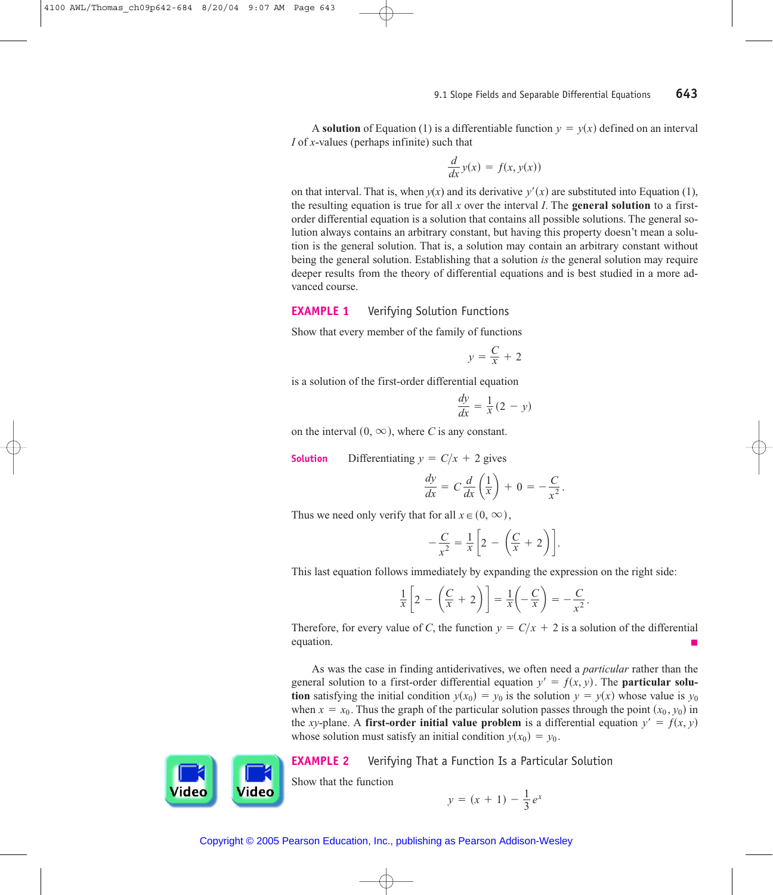A **solution** of Equation (1) is a differentiable function  $y = y(x)$  defined on an interval *I* of *x*-values (perhaps infinite) such that

$$
\frac{d}{dx}y(x) = f(x, y(x))
$$

on that interval. That is, when  $y(x)$  and its derivative  $y'(x)$  are substituted into Equation (1), the resulting equation is true for all  $x$  over the interval  $I$ . The **general solution** to a firstorder differential equation is a solution that contains all possible solutions. The general solution always contains an arbitrary constant, but having this property doesn't mean a solution is the general solution. That is, a solution may contain an arbitrary constant without being the general solution. Establishing that a solution *is* the general solution may require deeper results from the theory of differential equations and is best studied in a more advanced course.

#### **EXAMPLE 1** Verifying Solution Functions

Show that every member of the family of functions

$$
y = \frac{C}{x} + 2
$$

is a solution of the first-order differential equation

$$
\frac{dy}{dx} = \frac{1}{x}(2 - y)
$$

on the interval  $(0, \infty)$ , where *C* is any constant.

**Solution** Differentiating  $y = C/x + 2$  gives

$$
\frac{dy}{dx} = C \frac{d}{dx} \left( \frac{1}{x} \right) + 0 = -\frac{C}{x^2}.
$$

Thus we need only verify that for all  $x \in (0, \infty)$ ,

$$
-\frac{C}{x^2} = \frac{1}{x} \left[ 2 - \left( \frac{C}{x} + 2 \right) \right].
$$

This last equation follows immediately by expanding the expression on the right side:

$$
\frac{1}{x}\left[2-\left(\frac{C}{x}+2\right)\right]=\frac{1}{x}\left(-\frac{C}{x}\right)=-\frac{C}{x^2}.
$$

Therefore, for every value of *C*, the function  $y = C/x + 2$  is a solution of the differential equation.

As was the case in finding antiderivatives, we often need a *particular* rather than the general solution to a first-order differential equation  $y' = f(x, y)$ . The **particular solution** satisfying the initial condition  $y(x_0) = y_0$  is the solution  $y = y(x)$  whose value is  $y_0$ when  $x = x_0$ . Thus the graph of the particular solution passes through the point  $(x_0, y_0)$  in the *xy*-plane. A **first-order initial value problem** is a differential equation  $y' = f(x, y)$ whose solution must satisfy an initial condition  $y(x_0) = y_0$ .



**EXAMPLE 2** Verifying That a Function Is a Particular Solution

Show that the function

$$
y = (x + 1) - \frac{1}{3}e^x
$$

Copyright © 2005 Pearson Education, Inc., publishing as Pearson Addison-Wesley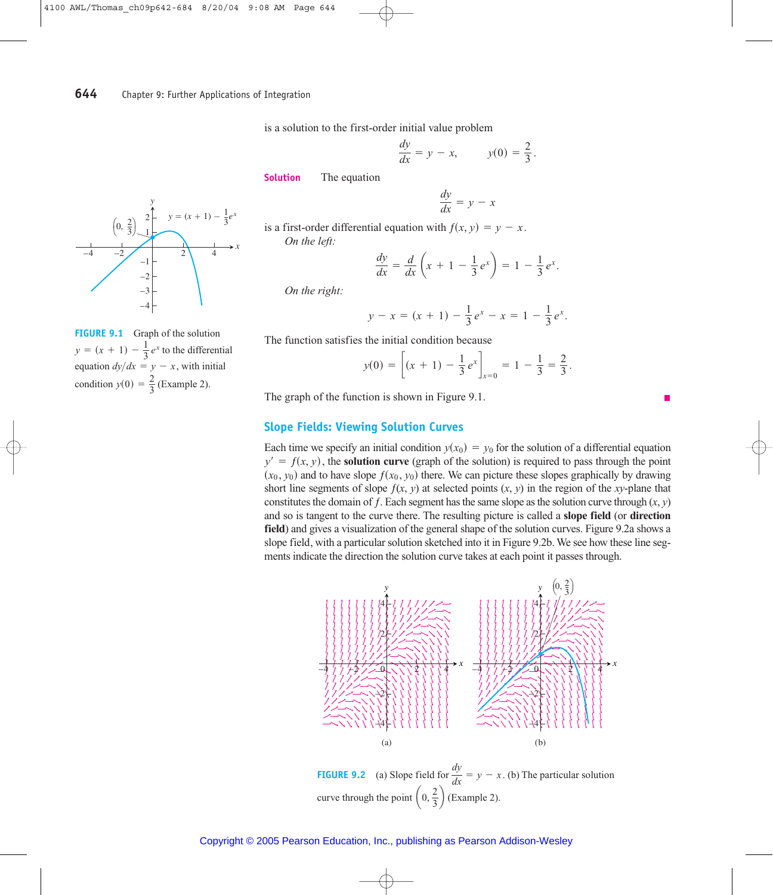is a solution to the first-order initial value problem

$$
\frac{dy}{dx} = y - x, \qquad y(0) = \frac{2}{3}.
$$

**Solution** The equation

$$
\frac{dy}{dx} = y - x
$$

is a first-order differential equation with  $f(x, y) = y - x$ . *On the left:*

$$
\frac{dy}{dx} = \frac{d}{dx}\left(x + 1 - \frac{1}{3}e^x\right) = 1 - \frac{1}{3}e^x.
$$

*On the right:*

$$
y - x = (x + 1) - \frac{1}{3}e^x - x = 1 - \frac{1}{3}e^x.
$$

The function satisfies the initial condition because

$$
y(0) = \left[ (x + 1) - \frac{1}{3} e^x \right]_{x=0} = 1 - \frac{1}{3} = \frac{2}{3}.
$$

The graph of the function is shown in Figure 9.1.

### **Slope Fields: Viewing Solution Curves**

Each time we specify an initial condition  $y(x_0) = y_0$  for the solution of a differential equation  $y' = f(x, y)$ , the **solution curve** (graph of the solution) is required to pass through the point  $(x_0, y_0)$  and to have slope  $f(x_0, y_0)$  there. We can picture these slopes graphically by drawing short line segments of slope  $f(x, y)$  at selected points  $(x, y)$  in the region of the *xy*-plane that constitutes the domain of *f*. Each segment has the same slope as the solution curve through  $(x, y)$ and so is tangent to the curve there. The resulting picture is called a **slope field** (or **direction field**) and gives a visualization of the general shape of the solution curves. Figure 9.2a shows a slope field, with a particular solution sketched into it in Figure 9.2b. We see how these line segments indicate the direction the solution curve takes at each point it passes through.



**FIGURE 9.2** (a) Slope field for  $\frac{dy}{dx} = y - x$ . (b) The particular solution curve through the point  $\left(0, \frac{2}{3}\right)$  (Example 2).  $\frac{dy}{dx} = y - x.$ 



**FIGURE 9.1** Graph of the solution  $y = (x + 1) - \frac{1}{3}e^x$  to the differential equation  $dy/dx = y - x$ , with initial condition  $y(0) = \frac{2}{3}$  (Example 2).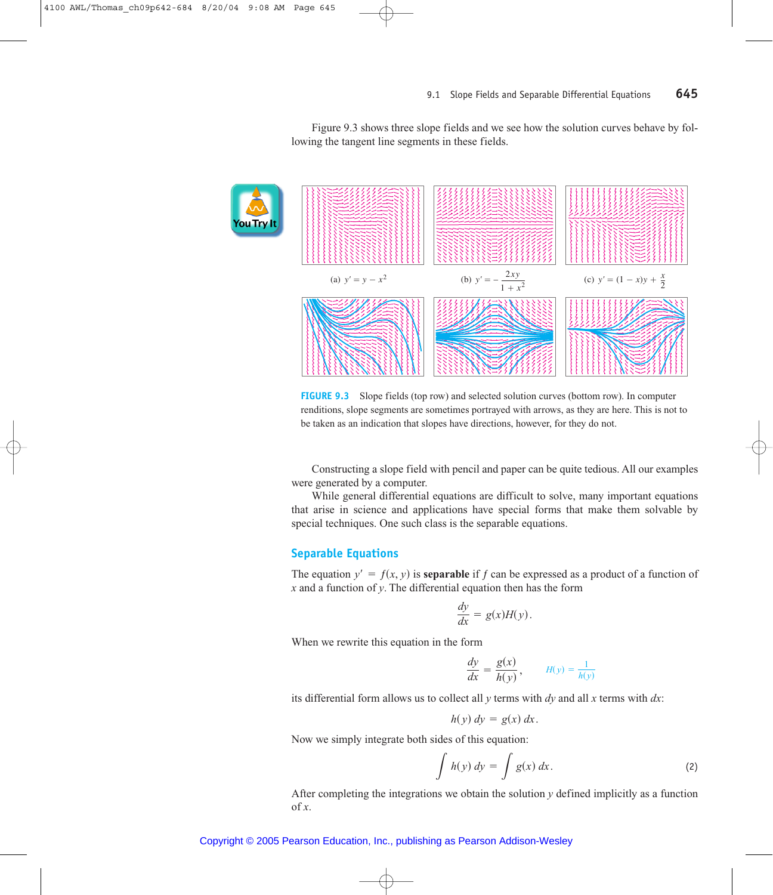Figure 9.3 shows three slope fields and we see how the solution curves behave by following the tangent line segments in these fields.



**FIGURE 9.3** Slope fields (top row) and selected solution curves (bottom row). In computer renditions, slope segments are sometimes portrayed with arrows, as they are here. This is not to be taken as an indication that slopes have directions, however, for they do not.

Constructing a slope field with pencil and paper can be quite tedious. All our examples were generated by a computer.

While general differential equations are difficult to solve, many important equations that arise in science and applications have special forms that make them solvable by special techniques. One such class is the separable equations.

#### **Separable Equations**

The equation  $y' = f(x, y)$  is **separable** if *f* can be expressed as a product of a function of *x* and a function of *y*. The differential equation then has the form

$$
\frac{dy}{dx} = g(x)H(y).
$$

When we rewrite this equation in the form

$$
\frac{dy}{dx} = \frac{g(x)}{h(y)}, \qquad H(y) = \frac{1}{h(y)}
$$

its differential form allows us to collect all *y* terms with *dy* and all *x* terms with *dx*:

$$
h(y) dy = g(x) dx.
$$

Now we simply integrate both sides of this equation:

$$
\int h(y) dy = \int g(x) dx.
$$
 (2)

After completing the integrations we obtain the solution *y* defined implicitly as a function of  $\mathfrak{X}$ .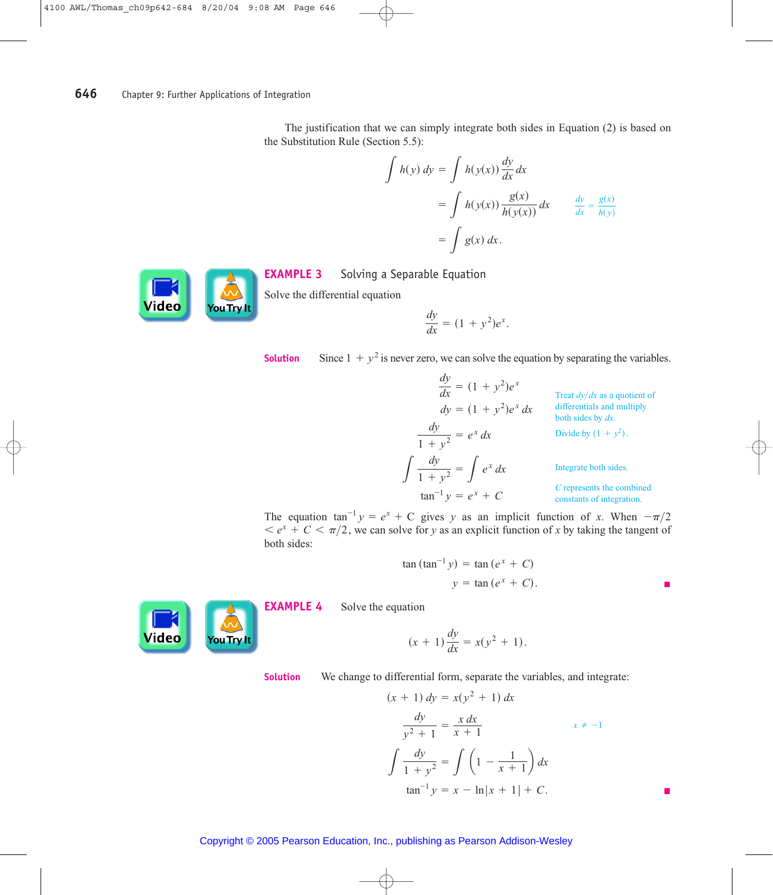The justification that we can simply integrate both sides in Equation (2) is based on the Substitution Rule (Section 5.5):

$$
\int h(y) dy = \int h(y(x)) \frac{dy}{dx} dx
$$
  
= 
$$
\int h(y(x)) \frac{g(x)}{h(y(x))} dx \qquad \frac{dy}{dx} = \frac{g(x)}{h(y)}
$$
  
= 
$$
\int g(x) dx.
$$



**EXAMPLE 3** Solving a Separable Equation

Solve the differential equation

$$
\frac{dy}{dx} = (1 + y^2)e^x.
$$

**Solution** Since  $1 + y^2$  is never zero, we can solve the equation by separating the variables.

$$
\frac{dy}{dx} = (1 + y^2)e^x
$$
\n
$$
\frac{dy}{dx} = (1 + y^2)e^x dx
$$
\n
$$
\frac{dy}{1 + y^2} = e^x dx
$$
\n
$$
\frac{dy}{1 + y^2} = e^x dx
$$
\n
$$
\frac{dy}{1 + y^2} = \int e^x dx
$$
\n
$$
\frac{dy}{1 + y^2} = \int e^x dx
$$
\n
$$
\frac{dy}{1 + y^2} = \int e^x dx
$$
\n
$$
\frac{dy}{1 + y^2} = \int e^x dx
$$
\n
$$
\frac{dy}{1 + y^2} = e^x + C
$$
\n
$$
\frac{d^2y}{1 + y^2} = e^x + C
$$
\n
$$
\frac{d^2y}{1 + y^2} = e^x + C
$$
\n
$$
\frac{d^2y}{1 + y^2} = \frac{dy}{1 + y^2} = e^x + C
$$
\n
$$
\frac{d^2y}{1 + y^2} = \frac{dy}{1 + y^2} = e^x + C
$$
\n
$$
\frac{d^2y}{1 + y^2} = \frac{dy}{1 + y^2} = e^x + C
$$
\n
$$
\frac{d^2y}{1 + y^2} = \frac{dy}{1 + y^2} = e^x + C
$$
\nIntegrate both sides.

The equation  $\tan^{-1} y = e^x + C$  gives *y* as an implicit function of *x*. When  $-\pi/2$  $\langle e^x + C \rangle \langle \pi/2 \rangle$ , we can solve for *y* as an explicit function of *x* by taking the tangent of both sides:

$$
\tan (\tan^{-1} y) = \tan (e^x + C)
$$
  

$$
y = \tan (e^x + C).
$$



**EXAMPLE 4** Solve the equation

$$
(x + 1)\frac{dy}{dx} = x(y^2 + 1).
$$

**Solution** We change to differential form, separate the variables, and integrate:

$$
(x + 1) dy = x(y^{2} + 1) dx
$$
  

$$
\frac{dy}{y^{2} + 1} = \frac{x dx}{x + 1}
$$
  

$$
\int \frac{dy}{1 + y^{2}} = \int \left(1 - \frac{1}{x + 1}\right) dx
$$
  

$$
\tan^{-1} y = x - \ln|x + 1| + C.
$$

П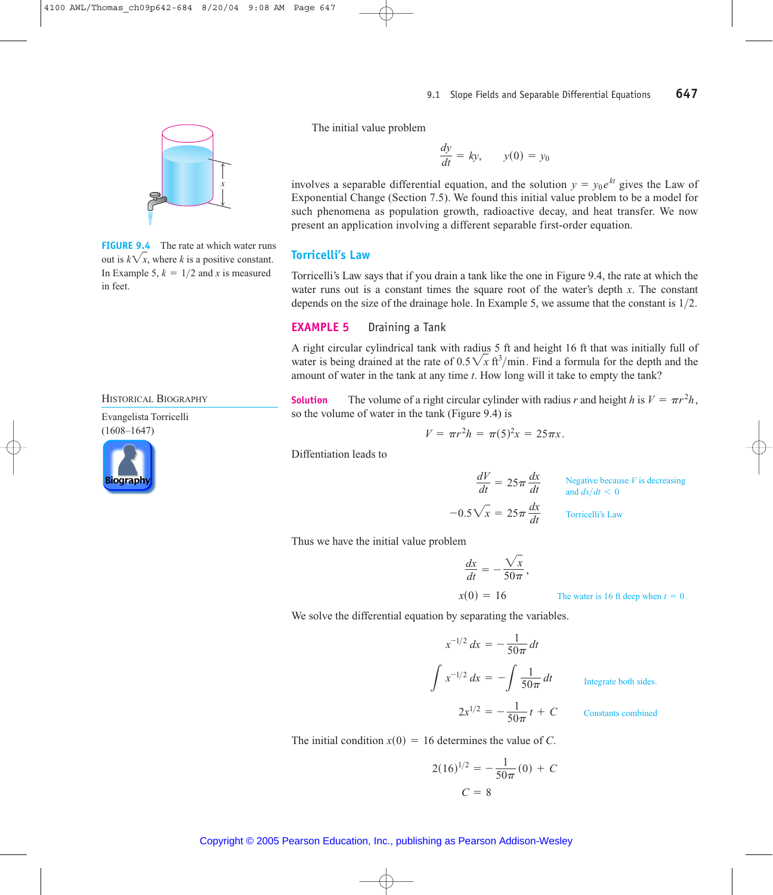

**FIGURE 9.4** The rate at which water runs out is  $k\sqrt{x}$ , where *k* is a positive constant. In Example 5,  $k = 1/2$  and *x* is measured in feet.

HISTORICAL BIOGRAPHY

Evangelista Torricelli (1608–1647)



The initial value problem

$$
\frac{dy}{dt} = ky, \qquad y(0) = y_0
$$

involves a separable differential equation, and the solution  $y = y_0 e^{kt}$  gives the Law of Exponential Change (Section 7.5). We found this initial value problem to be a model for such phenomena as population growth, radioactive decay, and heat transfer. We now present an application involving a different separable first-order equation.

#### **Torricelli's Law**

Torricelli's Law says that if you drain a tank like the one in Figure 9.4, the rate at which the water runs out is a constant times the square root of the water's depth *x*. The constant depends on the size of the drainage hole. In Example 5, we assume that the constant is  $1/2$ .

### **EXAMPLE 5** Draining a Tank

A right circular cylindrical tank with radius 5 ft and height 16 ft that was initially full of water is being drained at the rate of  $0.5\sqrt{x}$  ft<sup>3</sup>/min. Find a formula for the depth and the amount of water in the tank at any time *t*. How long will it take to empty the tank?

**Solution** The volume of a right circular cylinder with radius *r* and height *h* is  $V = \pi r^2 h$ , so the volume of water in the tank (Figure 9.4) is

$$
V = \pi r^2 h = \pi (5)^2 x = 25 \pi x.
$$

Diffentiation leads to

$$
\frac{dV}{dt} = 25\pi \frac{dx}{dt}
$$
\nNegative because *V* is decreasing  
\nand  $dx/dt < 0$   
\n–0.5 $\sqrt{x} = 25\pi \frac{dx}{dt}$  Torricelli's Law

Thus we have the initial value problem

$$
\frac{dx}{dt} = -\frac{\sqrt{x}}{50\pi},
$$

 $x(0) = 16$ 

The water is 16 ft deep when 
$$
t = 0
$$
.

We solve the differential equation by separating the variables.

$$
x^{-1/2} dx = -\frac{1}{50\pi} dt
$$

$$
\int x^{-1/2} dx = -\int \frac{1}{50\pi} dt
$$

$$
2x^{1/2} = -\frac{1}{50\pi} t + C
$$

Integrate both sides.

Constants combined

The initial condition  $x(0) = 16$  determines the value of *C*.

$$
2(16)^{1/2} = -\frac{1}{50\pi}(0) + C
$$

$$
C = 8
$$